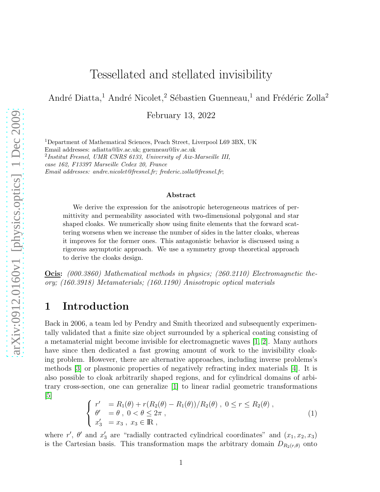# Tessellated and stellated invisibility

André Diatta,<sup>1</sup> André Nicolet,<sup>2</sup> Sébastien Guenneau,<sup>1</sup> and Frédéric Zolla<sup>2</sup>

February 13, 2022

<sup>1</sup>Department of Mathematical Sciences, Peach Street, Liverpool L69 3BX, UK Email addresses: adiatta@liv.ac.uk; guenneau@liv.ac.uk 2 *Institut Fresnel, UMR CNRS 6133, University of Aix-Marseille III, case 162, F13397 Marseille Cedex 20, France Email addresses: andre.nicolet@fresnel.fr; frederic.zolla@fresnel.fr*;

#### Abstract

We derive the expression for the anisotropic heterogeneous matrices of permittivity and permeability associated with two-dimensional polygonal and star shaped cloaks. We numerically show using finite elements that the forward scattering worsens when we increase the number of sides in the latter cloaks, whereas it improves for the former ones. This antagonistic behavior is discussed using a rigorous asymptotic approach. We use a symmetry group theoretical approach to derive the cloaks design.

Ocis: (000.3860) Mathematical methods in physics; (260.2110) Electromagnetic theory; (160.3918) Metamaterials; (160.1190) Anisotropic optical materials

### 1 Introduction

Back in 2006, a team led by Pendry and Smith theorized and subsequently experimentally validated that a finite size object surrounded by a spherical coating consisting of a metamaterial might become invisible for electromagnetic waves [\[1,](#page-6-0) [2\]](#page-6-1). Many authors have since then dedicated a fast growing amount of work to the invisibility cloaking problem. However, there are alternative approaches, including inverse problems's methods [\[3\]](#page-6-2) or plasmonic properties of negatively refracting index materials [\[4\]](#page-6-3). It is also possible to cloak arbitrarily shaped regions, and for cylindrical domains of arbitrary cross-section, one can generalize [\[1\]](#page-6-0) to linear radial geometric transformations  $\lceil 5 \rceil$ 

<span id="page-0-0"></span>
$$
\begin{cases}\n r' &= R_1(\theta) + r(R_2(\theta) - R_1(\theta))/R_2(\theta), \ 0 \le r \le R_2(\theta), \\
 \theta' &= \theta, \ 0 < \theta \le 2\pi, \\
 x'_3 &= x_3, \ x_3 \in \mathbb{R},\n\end{cases} (1)
$$

where r',  $\theta'$  and  $x'_3$  are "radially contracted cylindrical coordinates" and  $(x_1, x_2, x_3)$ is the Cartesian basis. This transformation maps the arbitrary domain  $D_{R_2(r,\theta)}$  onto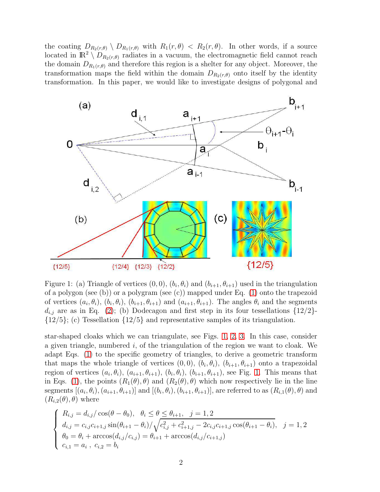the coating  $D_{R_2(r,\theta)} \setminus D_{R_1(r,\theta)}$  with  $R_1(r,\theta) < R_2(r,\theta)$ . In other words, if a source located in  $\mathbb{R}^2 \setminus D_{R_2(r,\theta)}$  radiates in a vacuum, the electromagnetic field cannot reach the domain  $D_{R_1(r,\theta)}$  and therefore this region is a shelter for any object. Moreover, the transformation maps the field within the domain  $D_{R_2(r,\theta)}$  onto itself by the identity transformation. In this paper, we would like to investigate designs of polygonal and



<span id="page-1-1"></span>Figure 1: (a) Triangle of vertices  $(0,0)$ ,  $(b_i, \theta_i)$  and  $(b_{i+1}, \theta_{i+1})$  used in the triangulation of a polygon (see (b)) or a polygram (see (c)) mapped under Eq. [\(1\)](#page-0-0) onto the trapezoid of vertices  $(a_i, \theta_i)$ ,  $(b_i, \theta_i)$ ,  $(b_{i+1}, \theta_{i+1})$  and  $(a_{i+1}, \theta_{i+1})$ . The angles  $\theta_i$  and the segments  $d_{i,j}$  are as in Eq. [\(2\)](#page-1-0); (b) Dodecagon and first step in its four tessellations  $\{12/2\}$ - $\{12/5\};$  (c) Tessellation  $\{12/5\}$  and representative samples of its triangulation.

star-shaped cloaks which we can triangulate, see Figs. [1,](#page-1-1) [2,](#page-7-0) [3.](#page-8-0) In this case, consider a given triangle, numbered i, of the triangulation of the region we want to cloak. We adapt Eqs. [\(1\)](#page-0-0) to the specific geometry of triangles, to derive a geometric transform that maps the whole triangle of vertices  $(0,0)$ ,  $(b_i, \theta_i)$ ,  $(b_{i+1}, \theta_{i+1})$  onto a trapezoidal region of vertices  $(a_i, \theta_i)$ ,  $(a_{i+1}, \theta_{i+1})$ ,  $(b_i, \theta_i)$ ,  $(b_{i+1}, \theta_{i+1})$ , see Fig. [1.](#page-1-1) This means that in Eqs. [\(1\)](#page-0-0), the points  $(R_1(\theta), \theta)$  and  $(R_2(\theta), \theta)$  which now respectively lie in the line segments  $[(a_i, \theta_i), (a_{i+1}, \theta_{i+1})]$  and  $[(b_i, \theta_i), (b_{i+1}, \theta_{i+1})]$ , are referred to as  $(R_{i,1}(\theta), \theta)$  and  $(R_{i,2}(\theta), \theta)$  where

<span id="page-1-0"></span>
$$
\begin{cases}\nR_{i,j} = d_{i,j} / \cos(\theta - \theta_0), \quad \theta_i \le \theta \le \theta_{i+1}, \quad j = 1, 2 \\
d_{i,j} = c_{i,j} c_{i+1,j} \sin(\theta_{i+1} - \theta_i) / \sqrt{c_{i,j}^2 + c_{i+1,j}^2 - 2c_{i,j} c_{i+1,j} \cos(\theta_{i+1} - \theta_i)}, \quad j = 1, 2 \\
\theta_0 = \theta_i + \arccos(d_{i,j}/c_{i,j}) = \theta_{i+1} + \arccos(d_{i,j}/c_{i+1,j}) \\
c_{i,1} = a_i, \quad c_{i,2} = b_i\n\end{cases}
$$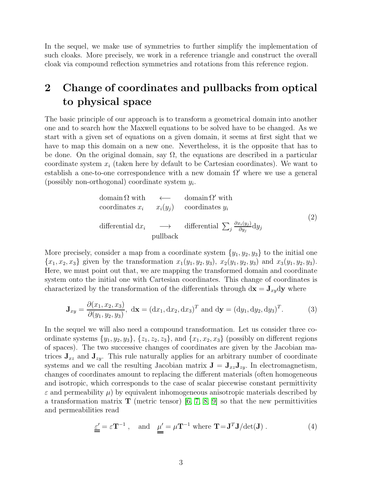In the sequel, we make use of symmetries to further simplify the implementation of such cloaks. More precisely, we work in a reference triangle and construct the overall cloak via compound reflection symmetries and rotations from this reference region.

## 2 Change of coordinates and pullbacks from optical to physical space

The basic principle of our approach is to transform a geometrical domain into another one and to search how the Maxwell equations to be solved have to be changed. As we start with a given set of equations on a given domain, it seems at first sight that we have to map this domain on a new one. Nevertheless, it is the opposite that has to be done. On the original domain, say  $\Omega$ , the equations are described in a particular coordinate system  $x_i$  (taken here by default to be Cartesian coordinates). We want to establish a one-to-one correspondence with a new domain  $\Omega'$  where we use a general (possibly non-orthogonal) coordinate system  $y_i$ .

domain 
$$
\Omega
$$
 with  
coordinates  $x_i$   $x_i(y_j)$  coordinates  $y_i$   
differential  $dx_i \longrightarrow$  differential  $\sum_j \frac{\partial x_i(y_j)}{\partial y_j} dy_j$   
pullback

More precisely, consider a map from a coordinate system  $\{y_1, y_2, y_3\}$  to the initial one  ${x_1, x_2, x_3}$  given by the transformation  $x_1(y_1, y_2, y_3)$ ,  $x_2(y_1, y_2, y_3)$  and  $x_3(y_1, y_2, y_3)$ . Here, we must point out that, we are mapping the transformed domain and coordinate system onto the initial one with Cartesian coordinates. This change of coordinates is characterized by the transformation of the differentials through  $dx = J_{xy}dy$  where

$$
\mathbf{J}_{xy} = \frac{\partial(x_1, x_2, x_3)}{\partial(y_1, y_2, y_3)}, \ \mathrm{d}\mathbf{x} = (\mathrm{d}x_1, \mathrm{d}x_2, \mathrm{d}x_3)^T \ \mathrm{and} \ \mathrm{d}\mathbf{y} = (\mathrm{d}y_1, \mathrm{d}y_2, \mathrm{d}y_3)^T. \tag{3}
$$

In the sequel we will also need a compound transformation. Let us consider three coordinate systems  $\{y_1, y_2, y_3\}, \{z_1, z_2, z_3\}, \text{ and } \{x_1, x_2, x_3\}$  (possibly on different regions of spaces). The two successive changes of coordinates are given by the Jacobian matrices  $J_{xz}$  and  $J_{zy}$ . This rule naturally applies for an arbitrary number of coordinate systems and we call the resulting Jacobian matrix  $\mathbf{J} = \mathbf{J}_{xz} \mathbf{J}_{zy}$ . In electromagnetism, changes of coordinates amount to replacing the different materials (often homogeneous and isotropic, which corresponds to the case of scalar piecewise constant permittivity  $\varepsilon$  and permeability  $\mu$ ) by equivalent inhomogeneous anisotropic materials described by a transformation matrix **T** (metric tensor) [\[6,](#page-7-1) [7,](#page-7-2) [8,](#page-7-3) [9\]](#page-7-4) so that the new permittivities and permeabilities read

<span id="page-2-0"></span>
$$
\underline{\varepsilon}' = \varepsilon \mathbf{T}^{-1} , \quad \text{and} \quad \underline{\mu}' = \mu \mathbf{T}^{-1} \text{ where } \mathbf{T} = \mathbf{J}^T \mathbf{J} / \det(\mathbf{J}) . \tag{4}
$$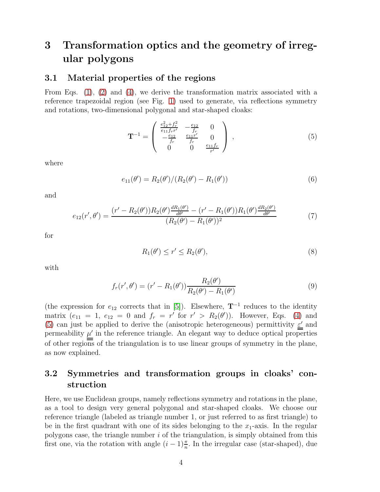## 3 Transformation optics and the geometry of irregular polygons

### 3.1 Material properties of the regions

From Eqs. [\(1\)](#page-0-0), [\(2\)](#page-1-0) and [\(4\)](#page-2-0), we derive the transformation matrix associated with a reference trapezoidal region (see Fig. [1\)](#page-1-1) used to generate, via reflections symmetry and rotations, two-dimensional polygonal and star-shaped cloaks:

<span id="page-3-0"></span>
$$
\mathbf{T}^{-1} = \begin{pmatrix} \frac{e_{12}^2 + f_r^2}{e_{11} f_r r'} & -\frac{e_{12}}{f_r} & 0\\ -\frac{e_{12}}{f_r} & \frac{e_{11} r'}{f_r} & 0\\ 0 & 0 & \frac{e_{11} f_r}{r'} \end{pmatrix} ,
$$
 (5)

where

$$
e_{11}(\theta') = R_2(\theta')/(R_2(\theta') - R_1(\theta')) \tag{6}
$$

and

$$
e_{12}(r',\theta') = \frac{(r'-R_2(\theta'))R_2(\theta')\frac{dR_1(\theta')}{d\theta'} - (r'-R_1(\theta'))R_1(\theta')\frac{dR_2(\theta')}{d\theta'}}{(R_2(\theta') - R_1(\theta'))^2}
$$
(7)

for

$$
R_1(\theta') \le r' \le R_2(\theta'),\tag{8}
$$

with

$$
f_r(r', \theta') = (r' - R_1(\theta')) \frac{R_2(\theta')}{R_2(\theta') - R_1(\theta')}
$$
\n(9)

(the expression for  $e_{12}$  corrects that in [\[5\]](#page-6-4)). Elsewhere,  $\mathbf{T}^{-1}$  reduces to the identity matrix  $(e_{11} = 1, e_{12} = 0 \text{ and } f_r = r' \text{ for } r' > R_2(\theta')$ . However, Eqs. [\(4\)](#page-2-0) and [\(5\)](#page-3-0) can just be applied to derive the (anisotropic heterogeneous) permittivity  $\epsilon'$  and permeability  $\mu'$  in the reference triangle. An elegant way to deduce optical properties of other regions of the triangulation is to use linear groups of symmetry in the plane, as now explained.

### 3.2 Symmetries and transformation groups in cloaks' construction

Here, we use Euclidean groups, namely reflections symmetry and rotations in the plane, as a tool to design very general polygonal and star-shaped cloaks. We choose our reference triangle (labeled as triangle number 1, or just referred to as first triangle) to be in the first quadrant with one of its sides belonging to the  $x_1$ -axis. In the regular polygons case, the triangle number  $i$  of the triangulation, is simply obtained from this first one, via the rotation with angle  $(i-1)\frac{\pi}{n}$ . In the irregular case (star-shaped), due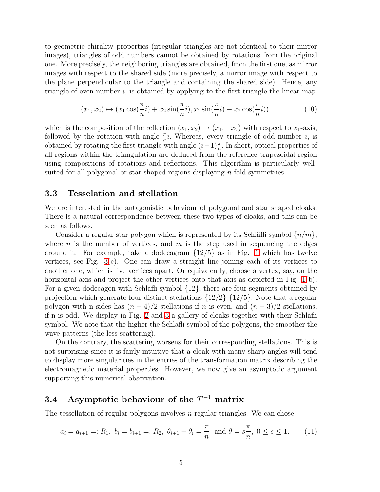to geometric chirality properties (irregular triangles are not identical to their mirror images), triangles of odd numbers cannot be obtained by rotations from the original one. More precisely, the neighboring triangles are obtained, from the first one, as mirror images with respect to the shared side (more precisely, a mirror image with respect to the plane perpendicular to the triangle and containing the shared side). Hence, any triangle of even number  $i$ , is obtained by applying to the first triangle the linear map

$$
(x_1, x_2) \mapsto (x_1 \cos(\frac{\pi}{n} i) + x_2 \sin(\frac{\pi}{n} i), x_1 \sin(\frac{\pi}{n} i) - x_2 \cos(\frac{\pi}{n} i))
$$
\n(10)

which is the composition of the reflection  $(x_1, x_2) \mapsto (x_1, -x_2)$  with respect to  $x_1$ -axis, followed by the rotation with angle  $\frac{\pi}{n}i$ . Whereas, every triangle of odd number i, is obtained by rotating the first triangle with angle  $(i-1)\frac{\pi}{n}$ . In short, optical properties of all regions within the triangulation are deduced from the reference trapezoidal region using compositions of rotations and reflections. This algorithm is particularly wellsuited for all polygonal or star shaped regions displaying n-fold symmetries.

#### 3.3 Tesselation and stellation

We are interested in the antagonistic behaviour of polygonal and star shaped cloaks. There is a natural correspondence between these two types of cloaks, and this can be seen as follows.

Consider a regular star polygon which is represented by its Schläfli symbol  $\{n/m\}$ , where n is the number of vertices, and  $m$  is the step used in sequencing the edges around it. For example, take a dodecagram  $\{12/5\}$  as in Fig. [1](#page-1-1) which has twelve vertices, see Fig. [3\(](#page-8-0)c). One can draw a straight line joining each of its vertices to another one, which is five vertices apart. Or equivalently, choose a vertex, say, on the horizontal axis and project the other vertices onto that axis as depicted in Fig. [1\(](#page-1-1)b). For a given dodecagon with Schläfli symbol  $\{12\}$ , there are four segments obtained by projection which generate four distinct stellations  $\{12/2\}$ - $\{12/5\}$ . Note that a regular polygon with n sides has  $(n-4)/2$  stellations if n is even, and  $(n-3)/2$  stellations, if n is odd. We display in Fig. [2](#page-7-0) and [3](#page-8-0) a gallery of cloaks together with their Schläfli symbol. We note that the higher the Schläfli symbol of the polygons, the smoother the wave patterns (the less scattering).

On the contrary, the scattering worsens for their corresponding stellations. This is not surprising since it is fairly intuitive that a cloak with many sharp angles will tend to display more singularities in the entries of the transformation matrix describing the electromagnetic material properties. However, we now give an asymptotic argument supporting this numerical observation.

### 3.4 Asymptotic behaviour of the  $T^{-1}$  matrix

The tessellation of regular polygons involves  $n$  regular triangles. We can chose

$$
a_i = a_{i+1} =: R_1, b_i = b_{i+1} =: R_2, \theta_{i+1} - \theta_i = \frac{\pi}{n} \text{ and } \theta = s\frac{\pi}{n}, 0 \le s \le 1.
$$
 (11)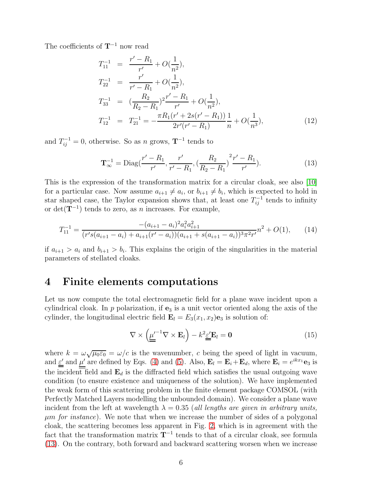The coefficients of  $T^{-1}$  now read

$$
T_{11}^{-1} = \frac{r' - R_1}{r'} + O(\frac{1}{n^2}),
$$
  
\n
$$
T_{22}^{-1} = \frac{r'}{r' - R_1} + O(\frac{1}{n^2}),
$$
  
\n
$$
T_{33}^{-1} = (\frac{R_2}{R_2 - R_1})^2 \frac{r' - R_1}{r'} + O(\frac{1}{n^2}),
$$
  
\n
$$
T_{12}^{-1} = T_{21}^{-1} = -\frac{\pi R_1 (r' + 2s(r' - R_1))}{2r'(r' - R_1)} \frac{1}{n} + O(\frac{1}{n^3}),
$$
\n(12)

and  $T_{ij}^{-1} = 0$ , otherwise. So as n grows,  $\mathbf{T}^{-1}$  tends to

<span id="page-5-0"></span>
$$
\mathbf{T}_{\infty}^{-1} = \text{Diag}(\frac{r'-R_1}{r'}, \frac{r'}{r'-R_1}, \left(\frac{R_2}{R_2 - R_1}\right)^2 \frac{r'-R_1}{r'}).
$$
(13)

This is the expression of the transformation matrix for a circular cloak, see also [\[10\]](#page-7-5) for a particular case. Now assume  $a_{i+1} \neq a_i$ , or  $b_{i+1} \neq b_i$ , which is expected to hold in star shaped case, the Taylor expansion shows that, at least one  $T_{ij}^{-1}$  tends to infinity or det( $\mathbf{T}^{-1}$ ) tends to zero, as n increases. For example,

$$
T_{11}^{-1} = \frac{-(a_{i+1} - a_i)^2 a_i^2 a_{i+1}^2}{(r's(a_{i+1} - a_i) + a_{i+1}(r' - a_i))(a_{i+1} + s(a_{i+1} - a_i))^3 \pi^2 r'} n^2 + O(1), \qquad (14)
$$

if  $a_{i+1} > a_i$  and  $b_{i+1} > b_i$ . This explains the origin of the singularities in the material parameters of stellated cloaks.

### 4 Finite elements computations

Let us now compute the total electromagnetic field for a plane wave incident upon a cylindrical cloak. In  $p$  polarization, if  $e_3$  is a unit vector oriented along the axis of the cylinder, the longitudinal electric field  $\mathbf{E}_l = E_3(x_1, x_2)\mathbf{e}_3$  is solution of:

$$
\nabla \times \left( \underline{\mu}'^{-1} \nabla \times \mathbf{E}_l \right) - k^2 \underline{\varepsilon}' \mathbf{E}_l = \mathbf{0} \tag{15}
$$

where  $k = \omega \sqrt{\mu_0 \varepsilon_0} = \omega/c$  is the wavenumber, c being the speed of light in vacuum, and  $\underline{\varepsilon}'$  and  $\mu'$  are defined by Eqs. [\(4\)](#page-2-0) and [\(5\)](#page-3-0). Also,  $\mathbf{E}_l = \mathbf{E}_i + \mathbf{E}_d$ , where  $\mathbf{E}_i = e^{ikx_1} \mathbf{e}_3$  is the incident field and  $\mathbf{E}_d$  is the diffracted field which satisfies the usual outgoing wave condition (to ensure existence and uniqueness of the solution). We have implemented the weak form of this scattering problem in the finite element package COMSOL (with Perfectly Matched Layers modelling the unbounded domain). We consider a plane wave incident from the left at wavelength  $\lambda = 0.35$  (all lengths are given in arbitrary units,  $\mu$ m for instance). We note that when we increase the number of sides of a polygonal cloak, the scattering becomes less apparent in Fig. [2,](#page-7-0) which is in agreement with the fact that the transformation matrix  $T^{-1}$  tends to that of a circular cloak, see formula [\(13\)](#page-5-0). On the contrary, both forward and backward scattering worsen when we increase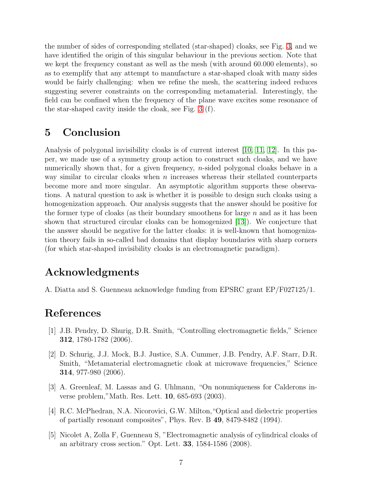the number of sides of corresponding stellated (star-shaped) cloaks, see Fig. [3,](#page-8-0) and we have identified the origin of this singular behaviour in the previous section. Note that we kept the frequency constant as well as the mesh (with around 60.000 elements), so as to exemplify that any attempt to manufacture a star-shaped cloak with many sides would be fairly challenging: when we refine the mesh, the scattering indeed reduces suggesting severer constraints on the corresponding metamaterial. Interestingly, the field can be confined when the frequency of the plane wave excites some resonance of the star-shaped cavity inside the cloak, see Fig. [3](#page-8-0) (f).

### 5 Conclusion

Analysis of polygonal invisibility cloaks is of current interest [\[10,](#page-7-5) [11,](#page-7-6) [12\]](#page-8-1). In this paper, we made use of a symmetry group action to construct such cloaks, and we have numerically shown that, for a given frequency,  $n$ -sided polygonal cloaks behave in a way similar to circular cloaks when  $n$  increases whereas their stellated counterparts become more and more singular. An asymptotic algorithm supports these observations. A natural question to ask is whether it is possible to design such cloaks using a homogenization approach. Our analysis suggests that the answer should be positive for the former type of cloaks (as their boundary smoothens for large  $n$  and as it has been shown that structured circular cloaks can be homogenized [\[13\]](#page-8-2)). We conjecture that the answer should be negative for the latter cloaks: it is well-known that homogenization theory fails in so-called bad domains that display boundaries with sharp corners (for which star-shaped invisibility cloaks is an electromagnetic paradigm).

## Acknowledgments

A. Diatta and S. Guenneau acknowledge funding from EPSRC grant EP/F027125/1.

### <span id="page-6-0"></span>References

- [1] J.B. Pendry, D. Shurig, D.R. Smith, "Controlling electromagnetic fields," Science 312, 1780-1782 (2006).
- <span id="page-6-1"></span>[2] D. Schurig, J.J. Mock, B.J. Justice, S.A. Cummer, J.B. Pendry, A.F. Starr, D.R. Smith, "Metamaterial electromagnetic cloak at microwave frequencies," Science 314, 977-980 (2006).
- <span id="page-6-2"></span>[3] A. Greenleaf, M. Lassas and G. Uhlmann, "On nonuniqueness for Calderons inverse problem,"Math. Res. Lett. 10, 685-693 (2003).
- <span id="page-6-3"></span>[4] R.C. McPhedran, N.A. Nicorovici, G.W. Milton,"Optical and dielectric properties of partially resonant composites", Phys. Rev. B 49, 8479-8482 (1994).
- <span id="page-6-4"></span>[5] Nicolet A, Zolla F, Guenneau S, "Electromagnetic analysis of cylindrical cloaks of an arbitrary cross section." Opt. Lett. 33, 1584-1586 (2008).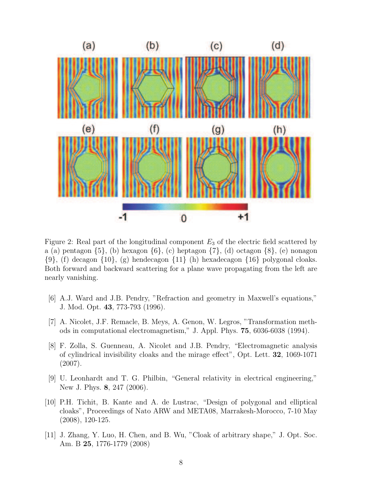

<span id="page-7-0"></span>Figure 2: Real part of the longitudinal component  $E_3$  of the electric field scattered by a (a) pentagon  $\{5\}$ , (b) hexagon  $\{6\}$ , (c) heptagon  $\{7\}$ , (d) octagon  $\{8\}$ , (e) nonagon  $\{9\}$ , (f) decagon  $\{10\}$ , (g) hendecagon  $\{11\}$  (h) hexadecagon  $\{16\}$  polygonal cloaks. Both forward and backward scattering for a plane wave propagating from the left are nearly vanishing.

- <span id="page-7-1"></span>[6] A.J. Ward and J.B. Pendry, "Refraction and geometry in Maxwell's equations," J. Mod. Opt. 43, 773-793 (1996).
- <span id="page-7-2"></span>[7] A. Nicolet, J.F. Remacle, B. Meys, A. Genon, W. Legros, "Transformation methods in computational electromagnetism," J. Appl. Phys. 75, 6036-6038 (1994).
- <span id="page-7-3"></span>[8] F. Zolla, S. Guenneau, A. Nicolet and J.B. Pendry, "Electromagnetic analysis of cylindrical invisibility cloaks and the mirage effect", Opt. Lett. 32, 1069-1071 (2007).
- <span id="page-7-4"></span>[9] U. Leonhardt and T. G. Philbin, "General relativity in electrical engineering," New J. Phys. 8, 247 (2006).
- <span id="page-7-5"></span>[10] P.H. Tichit, B. Kante and A. de Lustrac, "Design of polygonal and elliptical cloaks", Proceedings of Nato ARW and META08, Marrakesh-Morocco, 7-10 May (2008), 120-125.
- <span id="page-7-6"></span>[11] J. Zhang, Y. Luo, H. Chen, and B. Wu, "Cloak of arbitrary shape," J. Opt. Soc. Am. B 25, 1776-1779 (2008)